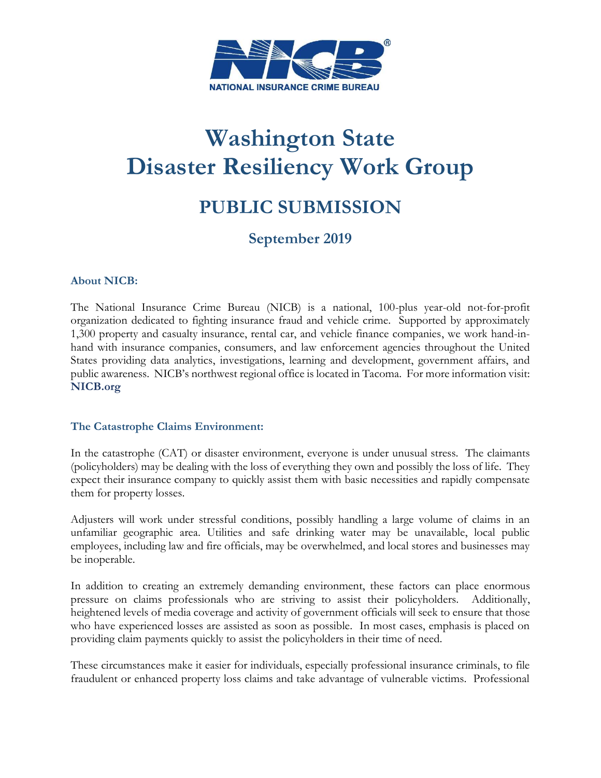

# **Washington State Disaster Resiliency Work Group**

## **PUBLIC SUBMISSION**

### **September 2019**

#### **About NICB:**

 The National Insurance Crime Bureau (NICB) is a national, 100-plus year-old not-for-profit organization dedicated to fighting insurance fraud and vehicle crime. Supported by approximately public awareness. NICB's northwest regional office is located in Tacoma. For more information visit: 1,300 property and casualty insurance, rental car, and vehicle finance companies, we work hand-inhand with insurance companies, consumers, and law enforcement agencies throughout the United States providing data analytics, investigations, learning and development, government affairs, and **[NICB.org](https://NICB.org)** 

#### **The Catastrophe Claims Environment:**

 In the catastrophe (CAT) or disaster environment, everyone is under unusual stress. The claimants (policyholders) may be dealing with the loss of everything they own and possibly the loss of life. They expect their insurance company to quickly assist them with basic necessities and rapidly compensate them for property losses.

 Adjusters will work under stressful conditions, possibly handling a large volume of claims in an unfamiliar geographic area. Utilities and safe drinking water may be unavailable, local public employees, including law and fire officials, may be overwhelmed, and local stores and businesses may be inoperable.

 In addition to creating an extremely demanding environment, these factors can place enormous heightened levels of media coverage and activity of government officials will seek to ensure that those who have experienced losses are assisted as soon as possible. In most cases, emphasis is placed on pressure on claims professionals who are striving to assist their policyholders. Additionally, providing claim payments quickly to assist the policyholders in their time of need.

 fraudulent or enhanced property loss claims and take advantage of vulnerable victims. Professional These circumstances make it easier for individuals, especially professional insurance criminals, to file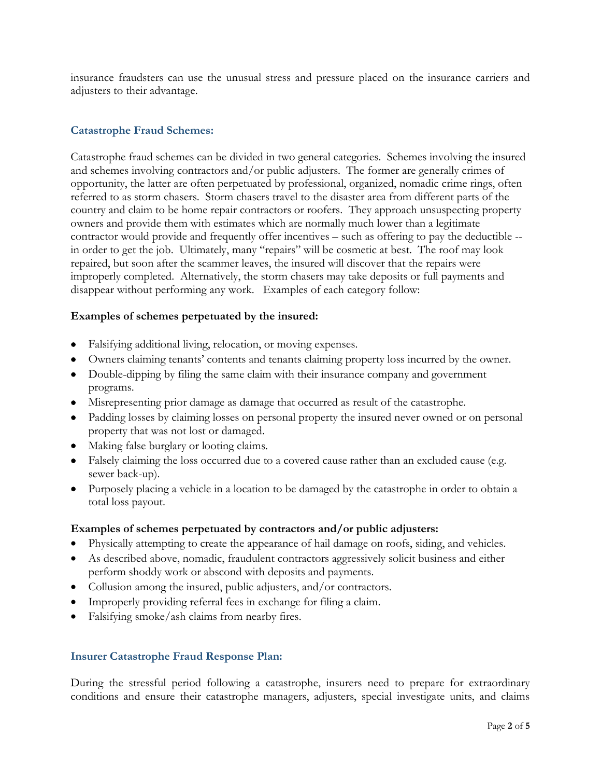insurance fraudsters can use the unusual stress and pressure placed on the insurance carriers and adjusters to their advantage.

#### **Catastrophe Fraud Schemes:**

 country and claim to be home repair contractors or roofers. They approach unsuspecting property in order to get the job. Ultimately, many "repairs" will be cosmetic at best. The roof may look disappear without performing any work. Examples of each category follow: Catastrophe fraud schemes can be divided in two general categories. Schemes involving the insured and schemes involving contractors and/or public adjusters. The former are generally crimes of opportunity, the latter are often perpetuated by professional, organized, nomadic crime rings, often referred to as storm chasers. Storm chasers travel to the disaster area from different parts of the owners and provide them with estimates which are normally much lower than a legitimate contractor would provide and frequently offer incentives – such as offering to pay the deductible - repaired, but soon after the scammer leaves, the insured will discover that the repairs were improperly completed. Alternatively, the storm chasers may take deposits or full payments and

#### **Examples of schemes perpetuated by the insured:**

- Falsifying additional living, relocation, or moving expenses.
- Owners claiming tenants' contents and tenants claiming property loss incurred by the owner.
- Double-dipping by filing the same claim with their insurance company and government programs.
- Misrepresenting prior damage as damage that occurred as result of the catastrophe.
- Padding losses by claiming losses on personal property the insured never owned or on personal property that was not lost or damaged.
- Making false burglary or looting claims.
- Falsely claiming the loss occurred due to a covered cause rather than an excluded cause (e.g. sewer back-up).
- Purposely placing a vehicle in a location to be damaged by the catastrophe in order to obtain a total loss payout.

#### **Examples of schemes perpetuated by contractors and/or public adjusters:**

- Physically attempting to create the appearance of hail damage on roofs, siding, and vehicles.
- As described above, nomadic, fraudulent contractors aggressively solicit business and either perform shoddy work or abscond with deposits and payments.
- Collusion among the insured, public adjusters, and/or contractors.
- Improperly providing referral fees in exchange for filing a claim.
- Falsifying smoke/ash claims from nearby fires.

#### **Insurer Catastrophe Fraud Response Plan:**

 During the stressful period following a catastrophe, insurers need to prepare for extraordinary conditions and ensure their catastrophe managers, adjusters, special investigate units, and claims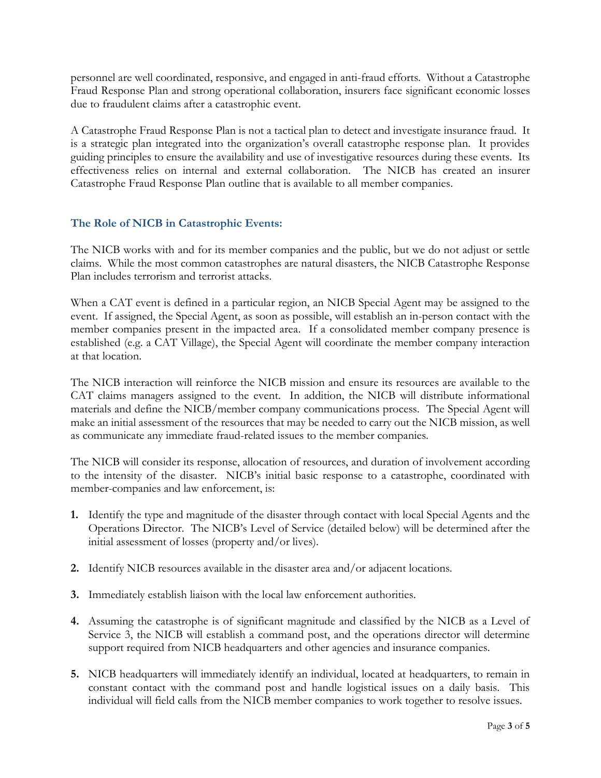personnel are well coordinated, responsive, and engaged in anti-fraud efforts. Without a Catastrophe Fraud Response Plan and strong operational collaboration, insurers face significant economic losses due to fraudulent claims after a catastrophic event.

 A Catastrophe Fraud Response Plan is not a tactical plan to detect and investigate insurance fraud. It is a strategic plan integrated into the organization's overall catastrophe response plan. It provides effectiveness relies on internal and external collaboration. The NICB has created an insurer guiding principles to ensure the availability and use of investigative resources during these events. Its Catastrophe Fraud Response Plan outline that is available to all member companies.

#### **The Role of NICB in Catastrophic Events:**

 The NICB works with and for its member companies and the public, but we do not adjust or settle claims. While the most common catastrophes are natural disasters, the NICB Catastrophe Response Plan includes terrorism and terrorist attacks.

 When a CAT event is defined in a particular region, an NICB Special Agent may be assigned to the member companies present in the impacted area. If a consolidated member company presence is established (e.g. a CAT Village), the Special Agent will coordinate the member company interaction event. If assigned, the Special Agent, as soon as possible, will establish an in-person contact with the at that location.

 The NICB interaction will reinforce the NICB mission and ensure its resources are available to the CAT claims managers assigned to the event. In addition, the NICB will distribute informational materials and define the NICB/member company communications process. The Special Agent will make an initial assessment of the resources that may be needed to carry out the NICB mission, as well as communicate any immediate fraud-related issues to the member companies.

 The NICB will consider its response, allocation of resources, and duration of involvement according to the intensity of the disaster. NICB's initial basic response to a catastrophe, coordinated with member-companies and law enforcement, is:

- Operations Director. The NICB's Level of Service (detailed below) will be determined after the **1.** Identify the type and magnitude of the disaster through contact with local Special Agents and the initial assessment of losses (property and/or lives).
- **2.** Identify NICB resources available in the disaster area and/or adjacent locations.
- **3.** Immediately establish liaison with the local law enforcement authorities.
- **4.** Assuming the catastrophe is of significant magnitude and classified by the NICB as a Level of Service 3, the NICB will establish a command post, and the operations director will determine support required from NICB headquarters and other agencies and insurance companies.
- **5.** NICB headquarters will immediately identify an individual, located at headquarters, to remain in constant contact with the command post and handle logistical issues on a daily basis. This individual will field calls from the NICB member companies to work together to resolve issues.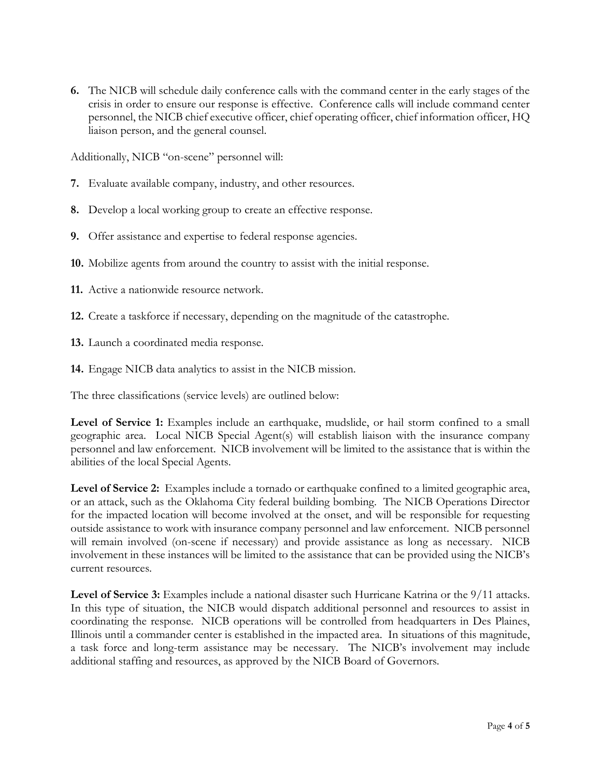**6.** The NICB will schedule daily conference calls with the command center in the early stages of the crisis in order to ensure our response is effective. Conference calls will include command center personnel, the NICB chief executive officer, chief operating officer, chief information officer, HQ liaison person, and the general counsel.

Additionally, NICB "on-scene" personnel will:

- **7.** Evaluate available company, industry, and other resources.
- **8.** Develop a local working group to create an effective response.
- **9.** Offer assistance and expertise to federal response agencies.
- **10.** Mobilize agents from around the country to assist with the initial response.
- **11.** Active a nationwide resource network.
- **12.** Create a taskforce if necessary, depending on the magnitude of the catastrophe.
- **13.** Launch a coordinated media response.
- **14.** Engage NICB data analytics to assist in the NICB mission.

The three classifications (service levels) are outlined below:

Level of Service 1: Examples include an earthquake, mudslide, or hail storm confined to a small geographic area. Local NICB Special Agent(s) will establish liaison with the insurance company personnel and law enforcement. NICB involvement will be limited to the assistance that is within the abilities of the local Special Agents.

 **Level of Service 2:** Examples include a tornado or earthquake confined to a limited geographic area, or an attack, such as the Oklahoma City federal building bombing. The NICB Operations Director for the impacted location will become involved at the onset, and will be responsible for requesting outside assistance to work with insurance company personnel and law enforcement. NICB personnel will remain involved (on-scene if necessary) and provide assistance as long as necessary. NICB involvement in these instances will be limited to the assistance that can be provided using the NICB's current resources.

Level of Service 3: Examples include a national disaster such Hurricane Katrina or the 9/11 attacks.<br>In this type of situation, the NICB would dispatch additional personnel and resources to assist in In this type of situation, the NICB would dispatch additional personnel and resources to assist in coordinating the response. NICB operations will be controlled from headquarters in Des Plaines, a task force and long-term assistance may be necessary. The NICB's involvement may include Illinois until a commander center is established in the impacted area. In situations of this magnitude, additional staffing and resources, as approved by the NICB Board of Governors.